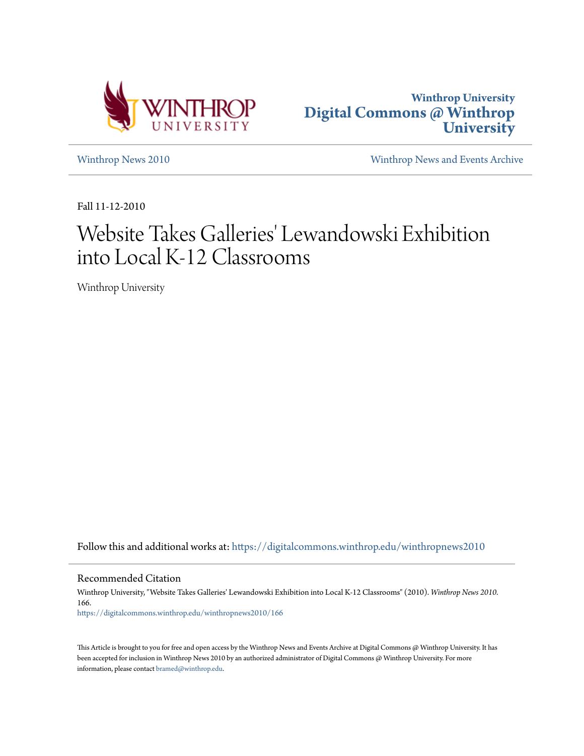



[Winthrop News 2010](https://digitalcommons.winthrop.edu/winthropnews2010?utm_source=digitalcommons.winthrop.edu%2Fwinthropnews2010%2F166&utm_medium=PDF&utm_campaign=PDFCoverPages) [Winthrop News and Events Archive](https://digitalcommons.winthrop.edu/winthropnewsarchives?utm_source=digitalcommons.winthrop.edu%2Fwinthropnews2010%2F166&utm_medium=PDF&utm_campaign=PDFCoverPages)

Fall 11-12-2010

## Website Takes Galleries' Lewandowski Exhibition into Local K-12 Classrooms

Winthrop University

Follow this and additional works at: [https://digitalcommons.winthrop.edu/winthropnews2010](https://digitalcommons.winthrop.edu/winthropnews2010?utm_source=digitalcommons.winthrop.edu%2Fwinthropnews2010%2F166&utm_medium=PDF&utm_campaign=PDFCoverPages)

Recommended Citation

Winthrop University, "Website Takes Galleries' Lewandowski Exhibition into Local K-12 Classrooms" (2010). *Winthrop News 2010*. 166.

[https://digitalcommons.winthrop.edu/winthropnews2010/166](https://digitalcommons.winthrop.edu/winthropnews2010/166?utm_source=digitalcommons.winthrop.edu%2Fwinthropnews2010%2F166&utm_medium=PDF&utm_campaign=PDFCoverPages)

This Article is brought to you for free and open access by the Winthrop News and Events Archive at Digital Commons @ Winthrop University. It has been accepted for inclusion in Winthrop News 2010 by an authorized administrator of Digital Commons @ Winthrop University. For more information, please contact [bramed@winthrop.edu](mailto:bramed@winthrop.edu).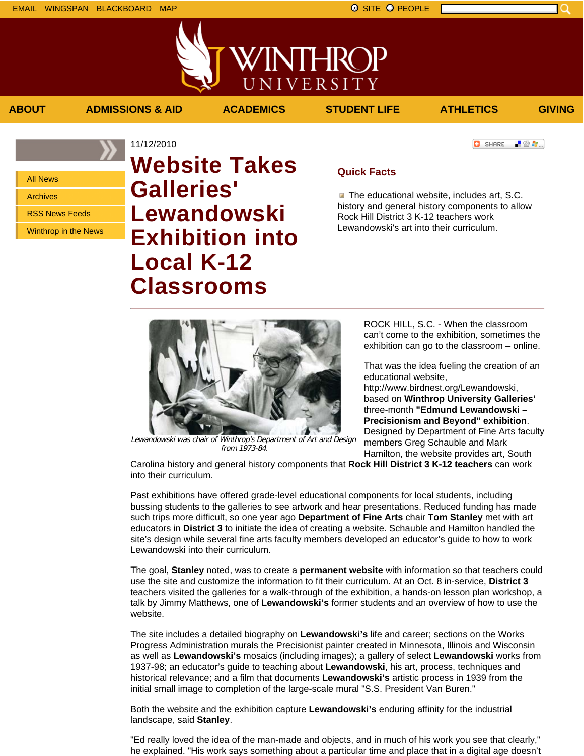■ 验母...]

**C** SHARE

All News

Archives

RSS News Feeds

Winthrop in the News

## 11/12/2010 **Website Takes Galleries' Lewandowski Exhibition into Local K-12 Classrooms**

## **Quick Facts**

**ABOUT ADMISSIONS & AID ACADEMICS STUDENT LIFE ATHLETICS GIVING**

VINTHROP

UNIVERSITY

 $\blacksquare$  The educational website, includes art, S.C. history and general history components to allow Rock Hill District 3 K-12 teachers work Lewandowski's art into their curriculum.



Lewandowski was chair of Winthrop's Department of Art and Design from 1973-84.

ROCK HILL, S.C. - When the classroom can't come to the exhibition, sometimes the exhibition can go to the classroom – online.

That was the idea fueling the creation of an educational website,

http://www.birdnest.org/Lewandowski, based on **Winthrop University Galleries'** three-month **"Edmund Lewandowski – Precisionism and Beyond" exhibition**. Designed by Department of Fine Arts faculty members Greg Schauble and Mark Hamilton, the website provides art, South

Carolina history and general history components that **Rock Hill District 3 K-12 teachers** can work into their curriculum.

Past exhibitions have offered grade-level educational components for local students, including bussing students to the galleries to see artwork and hear presentations. Reduced funding has made such trips more difficult, so one year ago **Department of Fine Arts** chair **Tom Stanley** met with art educators in **District 3** to initiate the idea of creating a website. Schauble and Hamilton handled the site's design while several fine arts faculty members developed an educator's guide to how to work Lewandowski into their curriculum.

The goal, **Stanley** noted, was to create a **permanent website** with information so that teachers could use the site and customize the information to fit their curriculum. At an Oct. 8 in-service, **District 3** teachers visited the galleries for a walk-through of the exhibition, a hands-on lesson plan workshop, a talk by Jimmy Matthews, one of **Lewandowski's** former students and an overview of how to use the website.

The site includes a detailed biography on **Lewandowski's** life and career; sections on the Works Progress Administration murals the Precisionist painter created in Minnesota, Illinois and Wisconsin as well as **Lewandowski's** mosaics (including images); a gallery of select **Lewandowski** works from 1937-98; an educator's guide to teaching about **Lewandowski**, his art, process, techniques and historical relevance; and a film that documents **Lewandowski's** artistic process in 1939 from the initial small image to completion of the large-scale mural "S.S. President Van Buren."

Both the website and the exhibition capture **Lewandowski's** enduring affinity for the industrial landscape, said **Stanley**.

"Ed really loved the idea of the man-made and objects, and in much of his work you see that clearly," he explained. "His work says something about a particular time and place that in a digital age doesn't